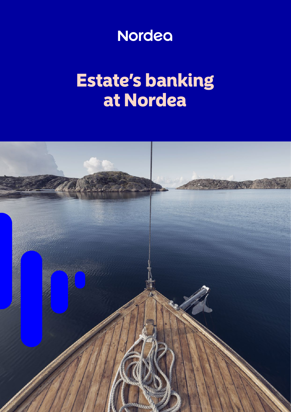

# Estate's banking at Nordea

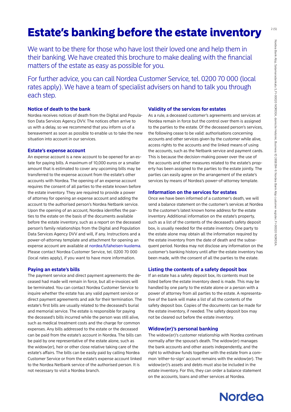# **Estate's banking before the estate inventory**

We want to be there for those who have lost their loved one and help them in their banking. We have created this brochure to make dealing with the financial matters of the estate as easy as possible for you.

For further advice, you can call Nordea Customer Service, tel. 0200 70 000 (local rates apply). We have a team of specialist advisers on hand to talk you through each step.

# **Notice of death to the bank**

Nordea receives notices of death from the Digital and Population Data Services Agency DVV. The notices often arrive to us with a delay, so we recommend that you inform us of a bereavement as soon as possible to enable us to take the new situation into account in our services.

# **Estate's expense account**

An expense account is a new account to be opened for an estate for paying bills. A maximum of 10,000 euros or a smaller amount that is estimated to cover any upcoming bills may be transferred to the expense account from the estate's other accounts with Nordea. The opening of an expense account requires the consent of all parties to the estate known before the estate inventory. They are required to provide a power of attorney for opening an expense account and adding the account to the authorised person's Nordea Netbank service. Upon the opening of an account, Nordea identifies the parties to the estate on the basis of the documents available before the estate inventory, such as a report on the deceased person's family relationships from the Digital and Population Data Services Agency DVV and will, if any. Instructions and a power-of-attorney template and attachment for opening an expense account are available at [nordea.fi/laheisen-kuolema](http://nordea.fi/laheisen-kuolema). Please contact Nordea Customer Service, tel. 0200 70 000 (local rates apply), if you want to have more information.

# **Paying an estate's bills**

The payment service and direct payment agreements the deceased had made will remain in force, but all e-invoices will be terminated. You can contact Nordea Customer Service to inquire whether the estate has any valid payment service or direct payment agreements and ask for their termination. The estate's first bills are usually related to the deceased's burial and memorial service. The estate is responsible for paying the deceased's bills incurred while the person was still alive, such as medical treatment costs and the charge for common expenses. Any bills addressed to the estate or the deceased can be paid from the estate's account in Nordea. The bills can be paid by one representative of the estate alone, such as the widow(er), heir or other close relative taking care of the estate's affairs. The bills can be easily paid by calling Nordea Customer Service or from the estate's expense account linked to the Nordea Netbank service of the authorised person. It is not necessary to visit a Nordea branch.

# **Validity of the services for estates**

As a rule, a deceased customer's agreements and services at Nordea remain in force but the control over them is assigned to the parties to the estate. Of the deceased person's services, the following cease to be valid: authorisations concerning accounts and other services given by the customer while alive, access rights to the accounts and the linked means of using the accounts, such as the Netbank service and payment cards. This is because the decision-making power over the use of the accounts and other measures related to the estate's property has been assigned to the parties to the estate jointly. The parties can easily agree on the arrangement of the estate's services by means of Nordea's power-of-attorney template.

# **Information on the services for estates**

Once we have been informed of a customer's death, we will send a balance statement on the customer's services at Nordea to the customer's latest known home address for the estate inventory. Additional information on the estate's property, such as a list of the contents of the deceased's safety deposit box, is usually needed for the estate inventory. One party to the estate alone may obtain all the information required by the estate inventory from the date of death and the subsequent period. Nordea may not disclose any information on the customer's banking history until after the estate inventory has been made, with the consent of all the parties to the estate.

# **Listing the contents of a safety deposit box**

If an estate has a safety deposit box, its contents must be listed before the estate inventory deed is made. This may be handled by one party to the estate alone or a person with a power of attorney from all parties to the estate. A representative of the bank will make a list of all the contents of the safety deposit box. Copies of the documents can be made for the estate inventory, if needed. The safety deposit box may not be cleared out before the estate inventory.

## **Widow(er)'s personal banking**

The widow(er)'s customer relationship with Nordea continues normally after the spouse's death. The widow(er) manages the bank accounts and other assets independently, and the right to withdraw funds together with the estate from a common 'either-to-sign' account remains with the widow(er). The widow(er)'s assets and debts must also be included in the estate inventory. For this, they can order a balance statement on the accounts, loans and other services at Nordea.

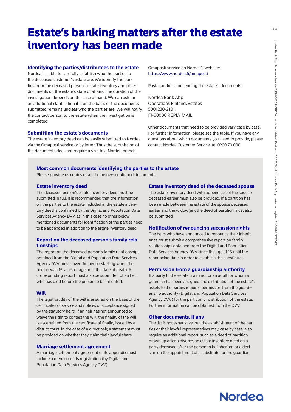# **Estate's banking matters after the estate** inventory has been made

#### **Identifying the parties/distributees to the estate**

Nordea is liable to carefully establish who the parties to the deceased customer's estate are. We identify the parties from the deceased person's estate inventory and other documents on the estate's state of affairs. The duration of the investigation depends on the case at hand. We can ask for an additional clarification if it on the basis of the documents submitted remains unclear who the parties are. We will notify the contact person to the estate when the investigation is completed.

#### **Submitting the estate's documents**

The estate inventory deed can be easily submitted to Nordea via the Omaposti service or by letter. Thus the submission of the documents does not require a visit to a Nordea branch.

Omaposti service on Nordea's website: <https://www.nordea.fi/omaposti>

Postal address for sending the estate's documents:

Nordea Bank Abp Operations Finland/Estates 5001230-2101 FI-00006 REPLY MAIL

Other documents that need to be provided vary case by case. For further information, please see the table. If you have any questions about which documents you need to provide, please contact Nordea Customer Service, tel 0200 70 000.

#### **Most common documents identifying the parties to the estate**

Please provide us copies of all the below-mentioned documents.

#### **Estate inventory deed**

The deceased person's estate inventory deed must be submitted in full. It is recommended that the information on the parties to the estate included in the estate inventory deed is confirmed by the Digital and Population Data Services Agency DVV, as in this case no other belowmentioned documents for identification of the parties need to be appended in addition to the estate inventory deed.

## **Report on the deceased person's family relationships**

The report on the deceased person's family relationships obtained from the Digital and Population Data Services Agency DVV must cover the period starting when the person was 15 years of age until the date of death. A corresponding report must also be submitted of an heir who has died before the person to be inherited.

#### **Will**

The legal validity of the will is ensured on the basis of the certificates of service and notices of acceptance signed by the statutory heirs. If an heir has not announced to waive the right to contest the will, the finality of the will is ascertained from the certificate of finality issued by a district court. In the case of a direct heir, a statement must be provided on whether they claim their lawful share.

#### **Marriage settlement agreement**

A marriage settlement agreement or its appendix must include a mention of its registration (by Digital and Population Data Services Agency DVV).

#### **Estate inventory deed of the deceased spouse**

The estate inventory deed with appendices of the spouse deceased earlier must also be provided. If a partition has been made between the estate of the spouse deceased earlier and the widow(er), the deed of partition must also be submitted.

#### **Notification of renouncing succession rights**

The heirs who have announced to renounce their inheritance must submit a comprehensive report on family relationships obtained from the Digital and Population Data Services Agency DVV since the age of 15 until the renouncing date in order to establish the substitutes.

#### **Permission from a guardianship authority**

If a party to the estate is a minor or an adult for whom a guardian has been assigned, the distribution of the estate's assets to the parties requires permission from the guardianship authority (Digital and Population Data Services Agency DVV) for the partition or distribution of the estate. Further information can be obtained from the DVV.

#### **Other documents, if any**

The list is not exhaustive, but the establishment of the parties or their lawful representatives may, case by case, also require an additional report, such as a deed of partition drawn up after a divorce, an estate inventory deed on a party deceased after the person to be inherited or a decision on the appointment of a substitute for the guardian.

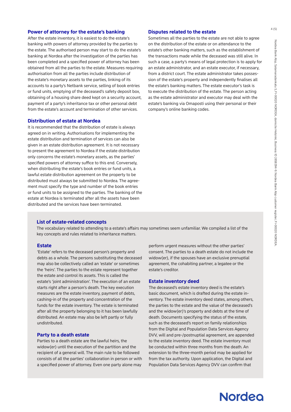#### **Power of attorney for the estate's banking**

After the estate inventory, it is easiest to do the estate's banking with powers of attorney provided by the parties to the estate. The authorised person may start to do the estate's banking at Nordea after the investigation of the parties has been completed and a specified power of attorney has been obtained from all the parties to the estate. Measures requiring authorisation from all the parties include distribution of the estate's monetary assets to the parties, linking of its accounts to a party's Netbank service, selling of book entries or fund units, emptying of the deceased's safety deposit box, obtaining of a housing share deed kept on a security account, payment of a party's inheritance tax or other personal debt from the estate's account and termination of other services.

## **Distribution of estate at Nordea**

It is recommended that the distribution of estate is always agreed on in writing. Authorisations for implementing the estate distribution and termination of services can also be given in an estate distribution agreement. It is not necessary to present the agreement to Nordea if the estate distribution only concerns the estate's monetary assets, as the parties' specified powers of attorney suffice to this end. Conversely, when distributing the estate's book entries or fund units, a lawful estate distribution agreement on the property to be distributed must always be submitted to Nordea. The agreement must specify the type and number of the book entries or fund units to be assigned to the parties. The banking of the estate at Nordea is terminated after all the assets have been distributed and the services have been terminated.

#### **Disputes related to the estate**

Sometimes all the parties to the estate are not able to agree on the distribution of the estate or on attendance to the estate's other banking matters, such as the establishment of the transactions made while the deceased was still alive. In such a case, a party's means of legal protection is to apply for an estate administrator, and an estate executor, if necessary, from a district court. The estate administrator takes possession of the estate's property and independently finalises all the estate's banking matters. The estate executor's task is to execute the distribution of the estate. The person acting as the estate administrator and executor may deal with the estate's banking via Omaposti using their personal or their company's online banking codes.

#### **List of estate-related concepts**

The vocabulary related to attending to a estate's affairs may sometimes seem unfamiliar. We compiled a list of the key concepts and rules related to inheritance matters.

#### **Estate**

'Estate' refers to the deceased person's property and debts as a whole. The persons substituting the deceased may also be collectively called an 'estate' or sometimes the 'heirs'. The parties to the estate represent together the estate and control its assets. This is called the estate's 'joint administration'. The execution of an estate starts right after a person's death. The key execution measures are the estate inventory, payment of debts, cashing-in of the property and concentration of the funds for the estate inventory. The estate is terminated after all the property belonging to it has been lawfully distributed. An estate may also be left partly or fully undistributed.

#### **Party to a death estate**

Parties to a death estate are the lawful heirs, the widow(er) until the execution of the partition and the recipient of a general will. The main rule to be followed consists of all the parties' collaboration in person or with a specified power of attorney. Even one party alone may

perform urgent measures without the other parties' consent. The parties to a death estate do not include the widow(er), if the spouses have an exclusive prenuptial agreement, the cohabiting partner, a legatee or the estate's creditor.

#### **Estate inventory deed**

The deceased's estate inventory deed is the estate's basic document, which is drafted during the estate inventory. The estate inventory deed states, among others, the parties to the estate and the value of the deceased's and the widow(er)'s property and debts at the time of death. Documents specifying the status of the estate, such as the deceased's report on family relationships from the Digital and Population Data Services Agency DVV, will and pre-/postnuptial agreement, are appended to the estate inventory deed. The estate inventory must be conducted within three months from the death. An extension to the three-month period may be applied for from the tax authority. Upon application, the Digital and Population Data Services Agency DVV can confirm that